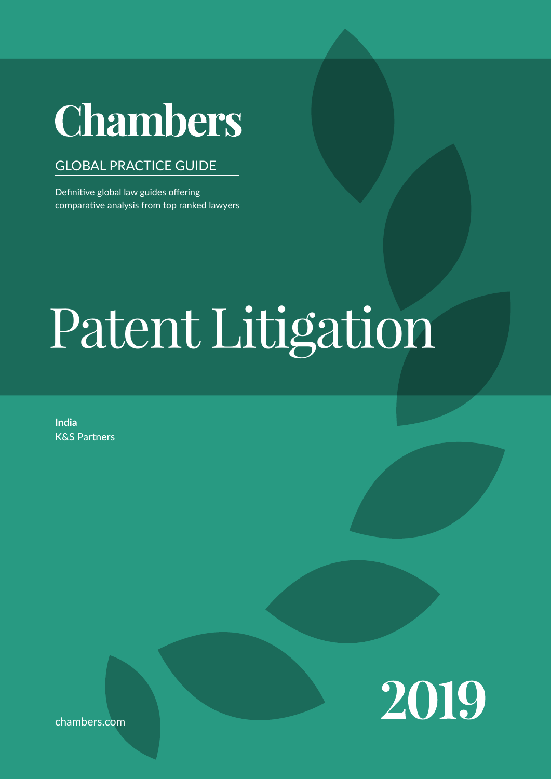# **Chambers**

# GLOBAL PRACTICE GUIDE

Definitive global law guides offering comparative analysis from top ranked lawyers

# navigating the legal system when conducting business in the jurisdic- $\mathbf{L}$  is the contraction. Leading law and probability at key transaction of  $\mathbf{L}$ stages and for crucial aspects of doing business. Patent Litigation

The 'Trends & Developments' sections give an overview of current trends and developments in local legal markets. Leading lawyers analyse particular trends or provide a broader discussion of key develop-

**India** K&S Partners



chambers.com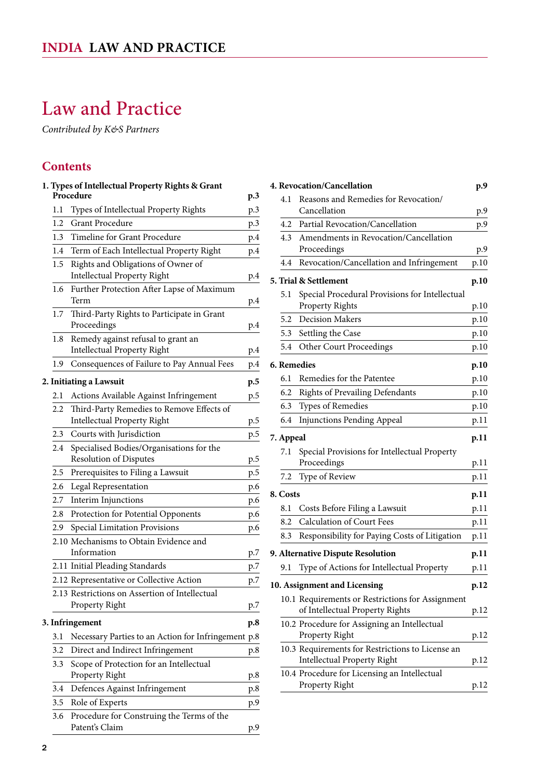# <span id="page-1-0"></span>Law and Practice

*Contributed by K&S Partners*

# **Contents**

|               | 1. Types of Intellectual Property Rights & Grant                                |     |
|---------------|---------------------------------------------------------------------------------|-----|
|               | Procedure                                                                       | p.3 |
| 1.1           | Types of Intellectual Property Rights                                           | p.3 |
| 1.2           | <b>Grant Procedure</b>                                                          | p.3 |
| 1.3           | Timeline for Grant Procedure                                                    | p.4 |
| $1.4^{\circ}$ | Term of Each Intellectual Property Right                                        | p.4 |
| 1.5           | Rights and Obligations of Owner of                                              |     |
|               | <b>Intellectual Property Right</b>                                              | p.4 |
| 1.6           | Further Protection After Lapse of Maximum<br>Term                               | p.4 |
| 1.7           | Third-Party Rights to Participate in Grant<br>Proceedings                       | p.4 |
| 1.8           | Remedy against refusal to grant an<br><b>Intellectual Property Right</b>        | p.4 |
| 1.9           | Consequences of Failure to Pay Annual Fees                                      | p.4 |
|               | 2. Initiating a Lawsuit                                                         | p.5 |
| 2.1           | Actions Available Against Infringement                                          | p.5 |
| 2.2           | Third-Party Remedies to Remove Effects of<br><b>Intellectual Property Right</b> | p.5 |
| 2.3           | Courts with Jurisdiction                                                        | p.5 |
| 2.4           | Specialised Bodies/Organisations for the                                        |     |
|               | <b>Resolution of Disputes</b>                                                   | p.5 |
| 2.5           | Prerequisites to Filing a Lawsuit                                               | p.5 |
| 2.6           | Legal Representation                                                            | p.6 |
| 2.7           | Interim Injunctions                                                             | p.6 |
| 2.8           | Protection for Potential Opponents                                              | p.6 |
| 2.9           | Special Limitation Provisions                                                   | p.6 |
|               | 2.10 Mechanisms to Obtain Evidence and                                          |     |
|               | Information                                                                     | p.7 |
|               | 2.11 Initial Pleading Standards                                                 | p.7 |
|               | 2.12 Representative or Collective Action                                        | p.7 |
|               | 2.13 Restrictions on Assertion of Intellectual<br>Property Right                | p.7 |
|               | 3. Infringement                                                                 | p.8 |
| 3.1           | Necessary Parties to an Action for Infringement p.8                             |     |
| 3.2           | Direct and Indirect Infringement                                                | p.8 |
| 3.3           | Scope of Protection for an Intellectual                                         |     |
|               | Property Right                                                                  | p.8 |
| 3.4           | Defences Against Infringement                                                   | p.8 |
| 3.5           | Role of Experts                                                                 | p.9 |
| 3.6           | Procedure for Construing the Terms of the<br>Patent's Claim                     | p.9 |

| 4. Revocation/Cancellation<br>p.9 |           |                                                                                        |              |  |
|-----------------------------------|-----------|----------------------------------------------------------------------------------------|--------------|--|
|                                   | 4.1       | Reasons and Remedies for Revocation/<br>Cancellation                                   | p.9          |  |
|                                   | 4.2       | Partial Revocation/Cancellation                                                        | p.9          |  |
|                                   | 4.3       | Amendments in Revocation/Cancellation                                                  |              |  |
|                                   |           | Proceedings                                                                            | p.9          |  |
|                                   | 4.4       | Revocation/Cancellation and Infringement                                               | p.10         |  |
|                                   |           | 5. Trial & Settlement                                                                  | p.10         |  |
|                                   | 5.1       | Special Procedural Provisions for Intellectual                                         |              |  |
|                                   |           | <b>Property Rights</b>                                                                 | p.10         |  |
|                                   | 5.2       | <b>Decision Makers</b>                                                                 | p.10         |  |
|                                   | 5.3       | Settling the Case                                                                      | p.10         |  |
|                                   | 5.4       | <b>Other Court Proceedings</b>                                                         | p.10         |  |
|                                   |           | 6. Remedies                                                                            | p.10         |  |
|                                   | 6.1       | Remedies for the Patentee                                                              | p.10         |  |
|                                   | 6.2       | Rights of Prevailing Defendants                                                        | p.10         |  |
|                                   | 6.3       | Types of Remedies                                                                      | p.10         |  |
|                                   | 6.4       | <b>Injunctions Pending Appeal</b>                                                      | p.11         |  |
|                                   | 7. Appeal |                                                                                        | p.11         |  |
|                                   | 7.1       | Special Provisions for Intellectual Property<br>Proceedings                            | p.11         |  |
|                                   | 7.2       | Type of Review                                                                         | p.11         |  |
|                                   | 8. Costs  |                                                                                        | p.11         |  |
|                                   | 8.1       | Costs Before Filing a Lawsuit                                                          | p.11         |  |
|                                   | 8.2       | <b>Calculation of Court Fees</b>                                                       | p.11         |  |
|                                   | 8.3       | Responsibility for Paying Costs of Litigation                                          | p.11         |  |
|                                   |           |                                                                                        |              |  |
|                                   | 9.1       | 9. Alternative Dispute Resolution<br>Type of Actions for Intellectual Property         | p.11         |  |
|                                   |           |                                                                                        | p.11<br>p.12 |  |
| 10. Assignment and Licensing      |           |                                                                                        |              |  |
|                                   |           | 10.1 Requirements or Restrictions for Assignment<br>of Intellectual Property Rights    | p.12         |  |
|                                   |           | 10.2 Procedure for Assigning an Intellectual                                           |              |  |
|                                   |           | Property Right                                                                         | p.12         |  |
|                                   |           | 10.3 Requirements for Restrictions to License an<br><b>Intellectual Property Right</b> | p.12         |  |
|                                   |           | 10.4 Procedure for Licensing an Intellectual                                           |              |  |
|                                   |           | Property Right                                                                         | p.12         |  |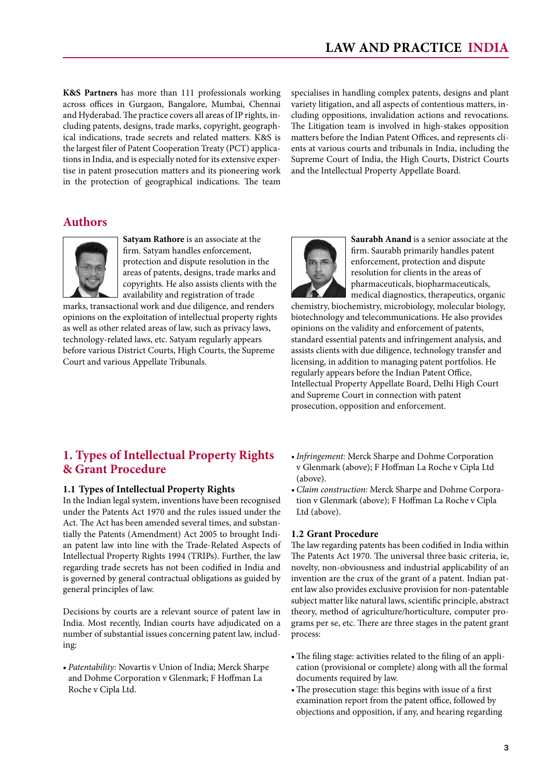<span id="page-2-0"></span>**K&S Partners** has more than 111 professionals working across offices in Gurgaon, Bangalore, Mumbai, Chennai and Hyderabad. The practice covers all areas of IP rights, including patents, designs, trade marks, copyright, geographical indications, trade secrets and related matters. K&S is the largest filer of Patent Cooperation Treaty (PCT) applications in India, and is especially noted for its extensive expertise in patent prosecution matters and its pioneering work in the protection of geographical indications. The team

specialises in handling complex patents, designs and plant variety litigation, and all aspects of contentious matters, including oppositions, invalidation actions and revocations. The Litigation team is involved in high-stakes opposition matters before the Indian Patent Offices, and represents clients at various courts and tribunals in India, including the Supreme Court of India, the High Courts, District Courts and the Intellectual Property Appellate Board.

# **Authors**



**Satyam Rathore** is an associate at the firm. Satyam handles enforcement, protection and dispute resolution in the areas of patents, designs, trade marks and copyrights. He also assists clients with the availability and registration of trade

marks, transactional work and due diligence, and renders opinions on the exploitation of intellectual property rights as well as other related areas of law, such as privacy laws, technology-related laws, etc. Satyam regularly appears before various District Courts, High Courts, the Supreme Court and various Appellate Tribunals.



**Saurabh Anand** is a senior associate at the firm. Saurabh primarily handles patent enforcement, protection and dispute resolution for clients in the areas of pharmaceuticals, biopharmaceuticals, medical diagnostics, therapeutics, organic

chemistry, biochemistry, microbiology, molecular biology, biotechnology and telecommunications. He also provides opinions on the validity and enforcement of patents, standard essential patents and infringement analysis, and assists clients with due diligence, technology transfer and licensing, in addition to managing patent portfolios. He regularly appears before the Indian Patent Office, Intellectual Property Appellate Board, Delhi High Court and Supreme Court in connection with patent prosecution, opposition and enforcement.

# **1. Types of Intellectual Property Rights & Grant Procedure**

#### **1.1 Types of Intellectual Property Rights**

In the Indian legal system, inventions have been recognised under the Patents Act 1970 and the rules issued under the Act. The Act has been amended several times, and substantially the Patents (Amendment) Act 2005 to brought Indian patent law into line with the Trade-Related Aspects of Intellectual Property Rights 1994 (TRIPs). Further, the law regarding trade secrets has not been codified in India and is governed by general contractual obligations as guided by general principles of law.

Decisions by courts are a relevant source of patent law in India. Most recently, Indian courts have adjudicated on a number of substantial issues concerning patent law, including:

• *Patentability:* Novartis v Union of India; Merck Sharpe and Dohme Corporation v Glenmark; F Hoffman La Roche v Cipla Ltd.

- *• Infringement:* Merck Sharpe and Dohme Corporation v Glenmark (above); F Hoffman La Roche v Cipla Ltd (above).
- *• Claim construction:* Merck Sharpe and Dohme Corporation v Glenmark (above); F Hoffman La Roche v Cipla Ltd (above).

#### **1.2 Grant Procedure**

The law regarding patents has been codified in India within The Patents Act 1970. The universal three basic criteria, ie, novelty, non-obviousness and industrial applicability of an invention are the crux of the grant of a patent. Indian patent law also provides exclusive provision for non-patentable subject matter like natural laws, scientific principle, abstract theory, method of agriculture/horticulture, computer programs per se, etc. There are three stages in the patent grant process:

- The filing stage: activities related to the filing of an application (provisional or complete) along with all the formal documents required by law.
- The prosecution stage: this begins with issue of a first examination report from the patent office, followed by objections and opposition, if any, and hearing regarding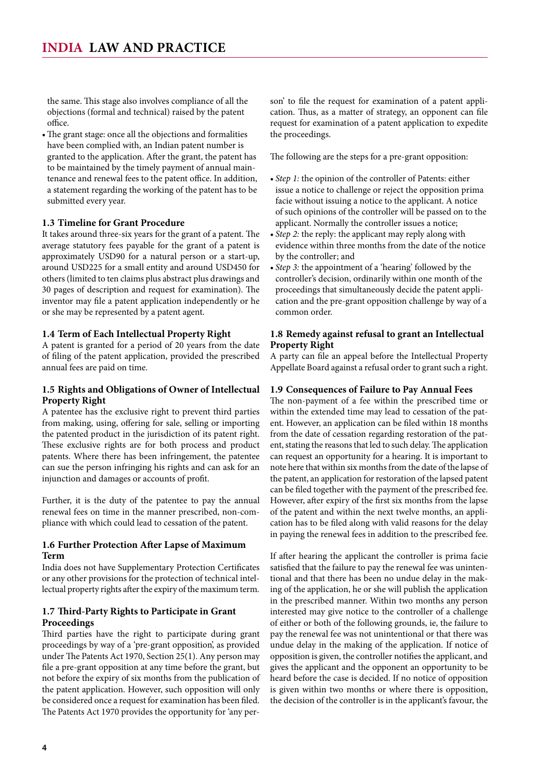<span id="page-3-0"></span>the same. This stage also involves compliance of all the objections (formal and technical) raised by the patent office.

• The grant stage: once all the objections and formalities have been complied with, an Indian patent number is granted to the application. After the grant, the patent has to be maintained by the timely payment of annual maintenance and renewal fees to the patent office. In addition, a statement regarding the working of the patent has to be submitted every year.

#### **1.3 Timeline for Grant Procedure**

It takes around three-six years for the grant of a patent. The average statutory fees payable for the grant of a patent is approximately USD90 for a natural person or a start-up, around USD225 for a small entity and around USD450 for others (limited to ten claims plus abstract plus drawings and 30 pages of description and request for examination). The inventor may file a patent application independently or he or she may be represented by a patent agent.

#### **1.4 Term of Each Intellectual Property Right**

A patent is granted for a period of 20 years from the date of filing of the patent application, provided the prescribed annual fees are paid on time.

#### **1.5 Rights and Obligations of Owner of Intellectual Property Right**

A patentee has the exclusive right to prevent third parties from making, using, offering for sale, selling or importing the patented product in the jurisdiction of its patent right. These exclusive rights are for both process and product patents. Where there has been infringement, the patentee can sue the person infringing his rights and can ask for an injunction and damages or accounts of profit.

Further, it is the duty of the patentee to pay the annual renewal fees on time in the manner prescribed, non-compliance with which could lead to cessation of the patent.

#### **1.6 Further Protection After Lapse of Maximum Term**

India does not have Supplementary Protection Certificates or any other provisions for the protection of technical intellectual property rights after the expiry of the maximum term.

#### **1.7 Third-Party Rights to Participate in Grant Proceedings**

Third parties have the right to participate during grant proceedings by way of a 'pre-grant opposition', as provided under The Patents Act 1970, Section 25(1). Any person may file a pre-grant opposition at any time before the grant, but not before the expiry of six months from the publication of the patent application. However, such opposition will only be considered once a request for examination has been filed. The Patents Act 1970 provides the opportunity for 'any person' to file the request for examination of a patent application. Thus, as a matter of strategy, an opponent can file request for examination of a patent application to expedite the proceedings.

The following are the steps for a pre-grant opposition:

- *Step 1*: the opinion of the controller of Patents: either issue a notice to challenge or reject the opposition prima facie without issuing a notice to the applicant. A notice of such opinions of the controller will be passed on to the applicant. Normally the controller issues a notice;
- Step 2: the reply: the applicant may reply along with evidence within three months from the date of the notice by the controller; and
- *Step 3*: the appointment of a 'hearing' followed by the controller's decision, ordinarily within one month of the proceedings that simultaneously decide the patent application and the pre-grant opposition challenge by way of a common order.

#### **1.8 Remedy against refusal to grant an Intellectual Property Right**

A party can file an appeal before the Intellectual Property Appellate Board against a refusal order to grant such a right.

#### **1.9 Consequences of Failure to Pay Annual Fees**

The non-payment of a fee within the prescribed time or within the extended time may lead to cessation of the patent. However, an application can be filed within 18 months from the date of cessation regarding restoration of the patent, stating the reasons that led to such delay. The application can request an opportunity for a hearing. It is important to note here that within six months from the date of the lapse of the patent, an application for restoration of the lapsed patent can be filed together with the payment of the prescribed fee. However, after expiry of the first six months from the lapse of the patent and within the next twelve months, an application has to be filed along with valid reasons for the delay in paying the renewal fees in addition to the prescribed fee.

If after hearing the applicant the controller is prima facie satisfied that the failure to pay the renewal fee was unintentional and that there has been no undue delay in the making of the application, he or she will publish the application in the prescribed manner. Within two months any person interested may give notice to the controller of a challenge of either or both of the following grounds, ie, the failure to pay the renewal fee was not unintentional or that there was undue delay in the making of the application. If notice of opposition is given, the controller notifies the applicant, and gives the applicant and the opponent an opportunity to be heard before the case is decided. If no notice of opposition is given within two months or where there is opposition, the decision of the controller is in the applicant's favour, the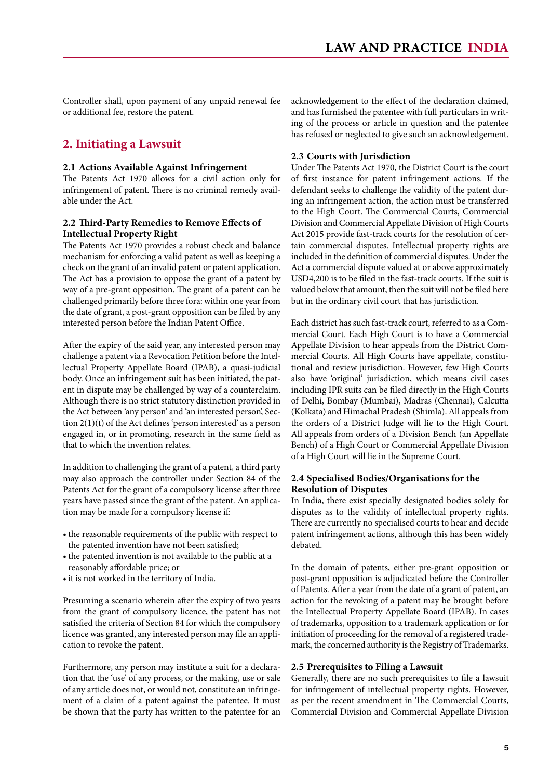<span id="page-4-0"></span>Controller shall, upon payment of any unpaid renewal fee or additional fee, restore the patent.

# **2. Initiating a Lawsuit**

#### **2.1 Actions Available Against Infringement**

The Patents Act 1970 allows for a civil action only for infringement of patent. There is no criminal remedy available under the Act.

#### **2.2 Third-Party Remedies to Remove Effects of Intellectual Property Right**

The Patents Act 1970 provides a robust check and balance mechanism for enforcing a valid patent as well as keeping a check on the grant of an invalid patent or patent application. The Act has a provision to oppose the grant of a patent by way of a pre-grant opposition. The grant of a patent can be challenged primarily before three fora: within one year from the date of grant, a post-grant opposition can be filed by any interested person before the Indian Patent Office.

After the expiry of the said year, any interested person may challenge a patent via a Revocation Petition before the Intellectual Property Appellate Board (IPAB), a quasi-judicial body. Once an infringement suit has been initiated, the patent in dispute may be challenged by way of a counterclaim. Although there is no strict statutory distinction provided in the Act between 'any person' and 'an interested person', Section 2(1)(t) of the Act defines 'person interested' as a person engaged in, or in promoting, research in the same field as that to which the invention relates.

In addition to challenging the grant of a patent, a third party may also approach the controller under Section 84 of the Patents Act for the grant of a compulsory license after three years have passed since the grant of the patent. An application may be made for a compulsory license if:

- the reasonable requirements of the public with respect to the patented invention have not been satisfied;
- the patented invention is not available to the public at a reasonably affordable price; or
- it is not worked in the territory of India.

Presuming a scenario wherein after the expiry of two years from the grant of compulsory licence, the patent has not satisfied the criteria of Section 84 for which the compulsory licence was granted, any interested person may file an application to revoke the patent.

Furthermore, any person may institute a suit for a declaration that the 'use' of any process, or the making, use or sale of any article does not, or would not, constitute an infringement of a claim of a patent against the patentee. It must be shown that the party has written to the patentee for an acknowledgement to the effect of the declaration claimed, and has furnished the patentee with full particulars in writing of the process or article in question and the patentee has refused or neglected to give such an acknowledgement.

#### **2.3 Courts with Jurisdiction**

Under The Patents Act 1970, the District Court is the court of first instance for patent infringement actions. If the defendant seeks to challenge the validity of the patent during an infringement action, the action must be transferred to the High Court. The Commercial Courts, Commercial Division and Commercial Appellate Division of High Courts Act 2015 provide fast-track courts for the resolution of certain commercial disputes. Intellectual property rights are included in the definition of commercial disputes. Under the Act a commercial dispute valued at or above approximately USD4,200 is to be filed in the fast-track courts. If the suit is valued below that amount, then the suit will not be filed here but in the ordinary civil court that has jurisdiction.

Each district has such fast-track court, referred to as a Commercial Court. Each High Court is to have a Commercial Appellate Division to hear appeals from the District Commercial Courts. All High Courts have appellate, constitutional and review jurisdiction. However, few High Courts also have 'original' jurisdiction, which means civil cases including IPR suits can be filed directly in the High Courts of Delhi, Bombay (Mumbai), Madras (Chennai), Calcutta (Kolkata) and Himachal Pradesh (Shimla). All appeals from the orders of a District Judge will lie to the High Court. All appeals from orders of a Division Bench (an Appellate Bench) of a High Court or Commercial Appellate Division of a High Court will lie in the Supreme Court.

#### **2.4 Specialised Bodies/Organisations for the Resolution of Disputes**

In India, there exist specially designated bodies solely for disputes as to the validity of intellectual property rights. There are currently no specialised courts to hear and decide patent infringement actions, although this has been widely debated.

In the domain of patents, either pre-grant opposition or post-grant opposition is adjudicated before the Controller of Patents. After a year from the date of a grant of patent, an action for the revoking of a patent may be brought before the Intellectual Property Appellate Board (IPAB). In cases of trademarks, opposition to a trademark application or for initiation of proceeding for the removal of a registered trademark, the concerned authority is the Registry of Trademarks.

#### **2.5 Prerequisites to Filing a Lawsuit**

Generally, there are no such prerequisites to file a lawsuit for infringement of intellectual property rights. However, as per the recent amendment in The Commercial Courts, Commercial Division and Commercial Appellate Division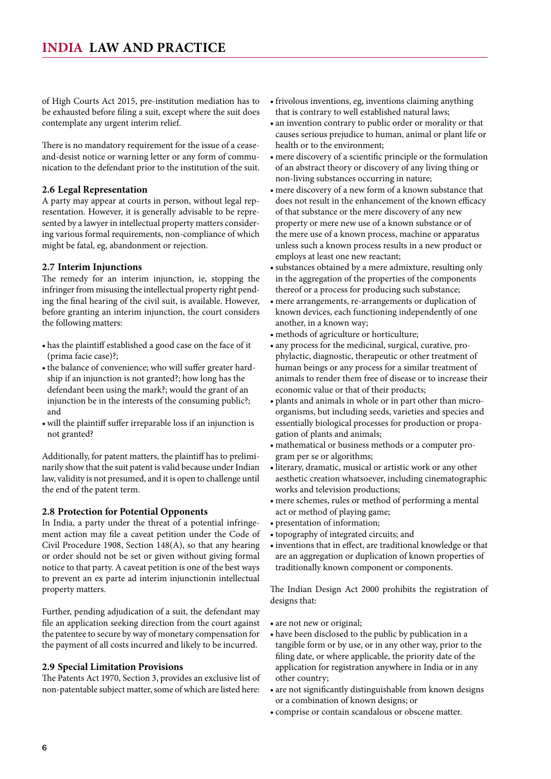<span id="page-5-0"></span>of High Courts Act 2015, pre-institution mediation has to be exhausted before filing a suit, except where the suit does contemplate any urgent interim relief.

There is no mandatory requirement for the issue of a ceaseand-desist notice or warning letter or any form of communication to the defendant prior to the institution of the suit.

#### **2.6 Legal Representation**

A party may appear at courts in person, without legal representation. However, it is generally advisable to be represented by a lawyer in intellectual property matters considering various formal requirements, non-compliance of which might be fatal, eg, abandonment or rejection.

#### **2.7 Interim Injunctions**

The remedy for an interim injunction, ie, stopping the infringer from misusing the intellectual property right pending the final hearing of the civil suit, is available. However, before granting an interim injunction, the court considers the following matters:

- • has the plaintiff established a good case on the face of it (prima facie case)?;
- the balance of convenience; who will suffer greater hardship if an injunction is not granted?; how long has the defendant been using the mark?; would the grant of an injunction be in the interests of the consuming public?; and
- • will the plaintiff suffer irreparable loss if an injunction is not granted?

Additionally, for patent matters, the plaintiff has to preliminarily show that the suit patent is valid because under Indian law, validity is not presumed, and it is open to challenge until the end of the patent term.

#### **2.8 Protection for Potential Opponents**

In India, a party under the threat of a potential infringement action may file a caveat petition under the Code of Civil Procedure 1908, Section 148(A), so that any hearing or order should not be set or given without giving formal notice to that party. A caveat petition is one of the best ways to prevent an ex parte ad interim injunctionin intellectual property matters.

Further, pending adjudication of a suit, the defendant may file an application seeking direction from the court against the patentee to secure by way of monetary compensation for the payment of all costs incurred and likely to be incurred.

#### **2.9 Special Limitation Provisions**

The Patents Act 1970, Section 3, provides an exclusive list of non-patentable subject matter, some of which are listed here:

- • frivolous inventions, eg, inventions claiming anything that is contrary to well established natural laws;
- an invention contrary to public order or morality or that causes serious prejudice to human, animal or plant life or health or to the environment;
- mere discovery of a scientific principle or the formulation of an abstract theory or discovery of any living thing or non-living substances occurring in nature;
- mere discovery of a new form of a known substance that does not result in the enhancement of the known efficacy of that substance or the mere discovery of any new property or mere new use of a known substance or of the mere use of a known process, machine or apparatus unless such a known process results in a new product or employs at least one new reactant;
- • substances obtained by a mere admixture, resulting only in the aggregation of the properties of the components thereof or a process for producing such substance;
- mere arrangements, re-arrangements or duplication of known devices, each functioning independently of one another, in a known way;
- • methods of agriculture or horticulture;
- any process for the medicinal, surgical, curative, prophylactic, diagnostic, therapeutic or other treatment of human beings or any process for a similar treatment of animals to render them free of disease or to increase their economic value or that of their products;
- • plants and animals in whole or in part other than microorganisms, but including seeds, varieties and species and essentially biological processes for production or propagation of plants and animals;
- • mathematical or business methods or a computer program per se or algorithms;
- literary, dramatic, musical or artistic work or any other aesthetic creation whatsoever, including cinematographic works and television productions;
- mere schemes, rules or method of performing a mental act or method of playing game;
- • presentation of information;
- • topography of integrated circuits; and
- inventions that in effect, are traditional knowledge or that are an aggregation or duplication of known properties of traditionally known component or components.

The Indian Design Act 2000 prohibits the registration of designs that:

- are not new or original;
- have been disclosed to the public by publication in a tangible form or by use, or in any other way, prior to the filing date, or where applicable, the priority date of the application for registration anywhere in India or in any other country;
- are not significantly distinguishable from known designs or a combination of known designs; or
- • comprise or contain scandalous or obscene matter.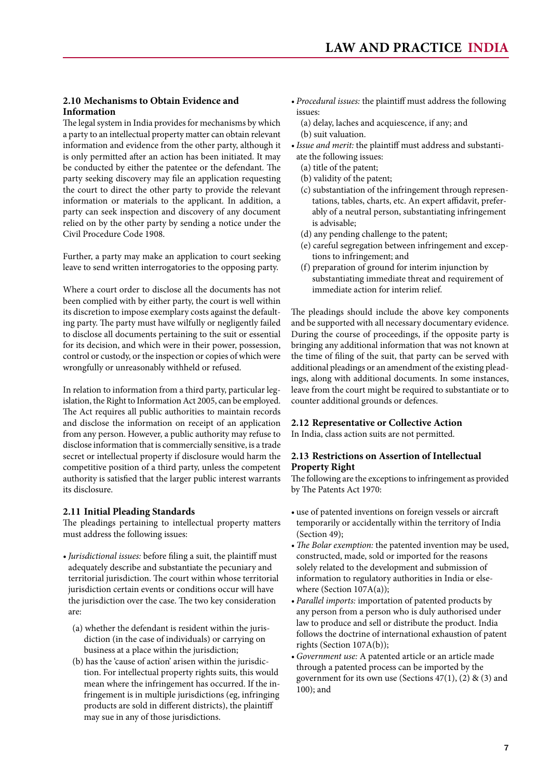#### <span id="page-6-0"></span>**2.10 Mechanisms to Obtain Evidence and Information**

The legal system in India provides for mechanisms by which a party to an intellectual property matter can obtain relevant information and evidence from the other party, although it is only permitted after an action has been initiated. It may be conducted by either the patentee or the defendant. The party seeking discovery may file an application requesting the court to direct the other party to provide the relevant information or materials to the applicant. In addition, a party can seek inspection and discovery of any document relied on by the other party by sending a notice under the Civil Procedure Code 1908.

Further, a party may make an application to court seeking leave to send written interrogatories to the opposing party.

Where a court order to disclose all the documents has not been complied with by either party, the court is well within its discretion to impose exemplary costs against the defaulting party. The party must have wilfully or negligently failed to disclose all documents pertaining to the suit or essential for its decision, and which were in their power, possession, control or custody, or the inspection or copies of which were wrongfully or unreasonably withheld or refused.

In relation to information from a third party, particular legislation, the Right to Information Act 2005, can be employed. The Act requires all public authorities to maintain records and disclose the information on receipt of an application from any person. However, a public authority may refuse to disclose information that is commercially sensitive, is a trade secret or intellectual property if disclosure would harm the competitive position of a third party, unless the competent authority is satisfied that the larger public interest warrants its disclosure.

#### **2.11 Initial Pleading Standards**

The pleadings pertaining to intellectual property matters must address the following issues:

- *• Jurisdictional issues:* before filing a suit, the plaintiff must adequately describe and substantiate the pecuniary and territorial jurisdiction. The court within whose territorial jurisdiction certain events or conditions occur will have the jurisdiction over the case. The two key consideration are:
	- (a) whether the defendant is resident within the jurisdiction (in the case of individuals) or carrying on business at a place within the jurisdiction;
	- (b) has the 'cause of action' arisen within the jurisdiction. For intellectual property rights suits, this would mean where the infringement has occurred. If the infringement is in multiple jurisdictions (eg, infringing products are sold in different districts), the plaintiff may sue in any of those jurisdictions.
- *• Procedural issues:* the plaintiff must address the following issues:
	- (a) delay, laches and acquiescence, if any; and (b) suit valuation.
- *• Issue and merit:* the plaintiff must address and substantiate the following issues:
	- (a) title of the patent;
	- (b) validity of the patent;
	- (c) substantiation of the infringement through representations, tables, charts, etc. An expert affidavit, preferably of a neutral person, substantiating infringement is advisable;
	- (d) any pending challenge to the patent;
	- (e) careful segregation between infringement and exceptions to infringement; and
	- (f) preparation of ground for interim injunction by substantiating immediate threat and requirement of immediate action for interim relief.

The pleadings should include the above key components and be supported with all necessary documentary evidence. During the course of proceedings, if the opposite party is bringing any additional information that was not known at the time of filing of the suit, that party can be served with additional pleadings or an amendment of the existing pleadings, along with additional documents. In some instances, leave from the court might be required to substantiate or to counter additional grounds or defences.

#### **2.12 Representative or Collective Action**

In India, class action suits are not permitted.

#### **2.13 Restrictions on Assertion of Intellectual Property Right**

The following are the exceptions to infringement as provided by The Patents Act 1970:

- • use of patented inventions on foreign vessels or aircraft temporarily or accidentally within the territory of India (Section 49);
- *The Bolar exemption:* the patented invention may be used, constructed, made, sold or imported for the reasons solely related to the development and submission of information to regulatory authorities in India or elsewhere (Section 107A(a));
- *• Parallel imports:* importation of patented products by any person from a person who is duly authorised under law to produce and sell or distribute the product. India follows the doctrine of international exhaustion of patent rights (Section 107A(b));
- *• Government use:* A patented article or an article made through a patented process can be imported by the government for its own use (Sections  $47(1)$ ,  $(2)$  &  $(3)$  and 100); and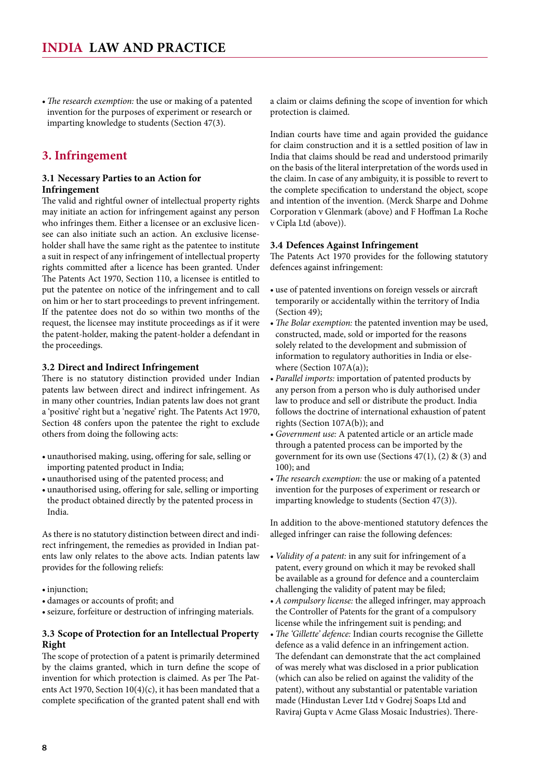<span id="page-7-0"></span>• *The research exemption:* the use or making of a patented invention for the purposes of experiment or research or imparting knowledge to students (Section 47(3).

# **3. Infringement**

#### **3.1 Necessary Parties to an Action for Infringement**

The valid and rightful owner of intellectual property rights may initiate an action for infringement against any person who infringes them. Either a licensee or an exclusive licensee can also initiate such an action. An exclusive licenseholder shall have the same right as the patentee to institute a suit in respect of any infringement of intellectual property rights committed after a licence has been granted. Under The Patents Act 1970, Section 110, a licensee is entitled to put the patentee on notice of the infringement and to call on him or her to start proceedings to prevent infringement. If the patentee does not do so within two months of the request, the licensee may institute proceedings as if it were the patent-holder, making the patent-holder a defendant in the proceedings.

#### **3.2 Direct and Indirect Infringement**

There is no statutory distinction provided under Indian patents law between direct and indirect infringement. As in many other countries, Indian patents law does not grant a 'positive' right but a 'negative' right. The Patents Act 1970, Section 48 confers upon the patentee the right to exclude others from doing the following acts:

- unauthorised making, using, offering for sale, selling or importing patented product in India;
- • unauthorised using of the patented process; and
- • unauthorised using, offering for sale, selling or importing the product obtained directly by the patented process in India.

As there is no statutory distinction between direct and indirect infringement, the remedies as provided in Indian patents law only relates to the above acts. Indian patents law provides for the following reliefs:

- injunction;
- • damages or accounts of profit; and
- • seizure, forfeiture or destruction of infringing materials.

#### **3.3 Scope of Protection for an Intellectual Property Right**

The scope of protection of a patent is primarily determined by the claims granted, which in turn define the scope of invention for which protection is claimed. As per The Patents Act 1970, Section 10(4)(c), it has been mandated that a complete specification of the granted patent shall end with a claim or claims defining the scope of invention for which protection is claimed.

Indian courts have time and again provided the guidance for claim construction and it is a settled position of law in India that claims should be read and understood primarily on the basis of the literal interpretation of the words used in the claim. In case of any ambiguity, it is possible to revert to the complete specification to understand the object, scope and intention of the invention. (Merck Sharpe and Dohme Corporation v Glenmark (above) and F Hoffman La Roche v Cipla Ltd (above)).

#### **3.4 Defences Against Infringement**

The Patents Act 1970 provides for the following statutory defences against infringement:

- use of patented inventions on foreign vessels or aircraft temporarily or accidentally within the territory of India (Section 49);
- *The Bolar exemption:* the patented invention may be used, constructed, made, sold or imported for the reasons solely related to the development and submission of information to regulatory authorities in India or elsewhere (Section 107A(a));
- *• Parallel imports:* importation of patented products by any person from a person who is duly authorised under law to produce and sell or distribute the product. India follows the doctrine of international exhaustion of patent rights (Section 107A(b)); and
- *• Government use:* A patented article or an article made through a patented process can be imported by the government for its own use (Sections  $47(1)$ ,  $(2)$  &  $(3)$  and 100); and
- *• The research exemption:* the use or making of a patented invention for the purposes of experiment or research or imparting knowledge to students (Section 47(3)).

In addition to the above-mentioned statutory defences the alleged infringer can raise the following defences:

- • *Validity of a patent:* in any suit for infringement of a patent, every ground on which it may be revoked shall be available as a ground for defence and a counterclaim challenging the validity of patent may be filed;
- *• A compulsory license:* the alleged infringer, may approach the Controller of Patents for the grant of a compulsory license while the infringement suit is pending; and
- *• The 'Gillette' defence:* Indian courts recognise the Gillette defence as a valid defence in an infringement action. The defendant can demonstrate that the act complained of was merely what was disclosed in a prior publication (which can also be relied on against the validity of the patent), without any substantial or patentable variation made (Hindustan Lever Ltd v Godrej Soaps Ltd and Raviraj Gupta v Acme Glass Mosaic Industries). There-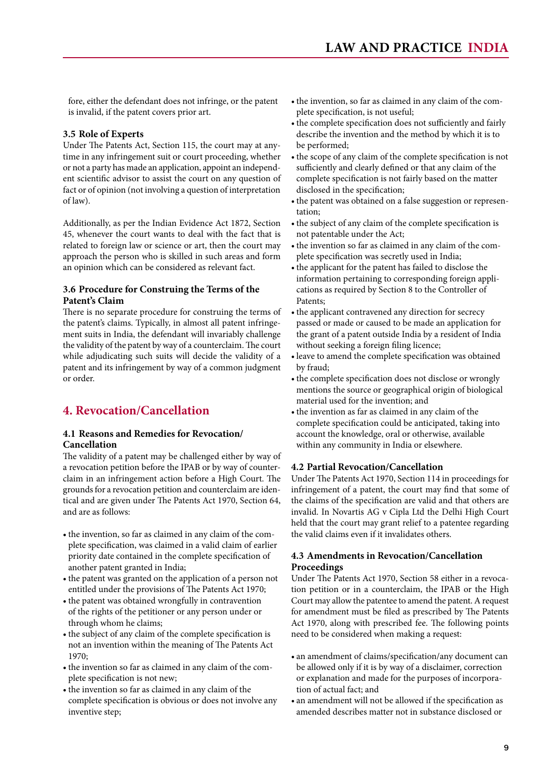<span id="page-8-0"></span>fore, either the defendant does not infringe, or the patent is invalid, if the patent covers prior art.

#### **3.5 Role of Experts**

Under The Patents Act, Section 115, the court may at anytime in any infringement suit or court proceeding, whether or not a party has made an application, appoint an independent scientific advisor to assist the court on any question of fact or of opinion (not involving a question of interpretation of law).

Additionally, as per the Indian Evidence Act 1872, Section 45, whenever the court wants to deal with the fact that is related to foreign law or science or art, then the court may approach the person who is skilled in such areas and form an opinion which can be considered as relevant fact.

#### **3.6 Procedure for Construing the Terms of the Patent's Claim**

There is no separate procedure for construing the terms of the patent's claims. Typically, in almost all patent infringement suits in India, the defendant will invariably challenge the validity of the patent by way of a counterclaim. The court while adjudicating such suits will decide the validity of a patent and its infringement by way of a common judgment or order.

# **4. Revocation/Cancellation**

#### **4.1 Reasons and Remedies for Revocation/ Cancellation**

The validity of a patent may be challenged either by way of a revocation petition before the IPAB or by way of counterclaim in an infringement action before a High Court. The grounds for a revocation petition and counterclaim are identical and are given under The Patents Act 1970, Section 64, and are as follows:

- the invention, so far as claimed in any claim of the complete specification, was claimed in a valid claim of earlier priority date contained in the complete specification of another patent granted in India;
- the patent was granted on the application of a person not entitled under the provisions of The Patents Act 1970;
- the patent was obtained wrongfully in contravention of the rights of the petitioner or any person under or through whom he claims;
- the subject of any claim of the complete specification is not an invention within the meaning of The Patents Act 1970;
- the invention so far as claimed in any claim of the complete specification is not new;
- • the invention so far as claimed in any claim of the complete specification is obvious or does not involve any inventive step;
- the invention, so far as claimed in any claim of the complete specification, is not useful;
- the complete specification does not sufficiently and fairly describe the invention and the method by which it is to be performed;
- the scope of any claim of the complete specification is not sufficiently and clearly defined or that any claim of the complete specification is not fairly based on the matter disclosed in the specification;
- the patent was obtained on a false suggestion or representation;
- the subject of any claim of the complete specification is not patentable under the Act;
- the invention so far as claimed in any claim of the complete specification was secretly used in India;
- the applicant for the patent has failed to disclose the information pertaining to corresponding foreign applications as required by Section 8 to the Controller of Patents;
- the applicant contravened any direction for secrecy passed or made or caused to be made an application for the grant of a patent outside India by a resident of India without seeking a foreign filing licence;
- • leave to amend the complete specification was obtained by fraud;
- the complete specification does not disclose or wrongly mentions the source or geographical origin of biological material used for the invention; and
- the invention as far as claimed in any claim of the complete specification could be anticipated, taking into account the knowledge, oral or otherwise, available within any community in India or elsewhere.

#### **4.2 Partial Revocation/Cancellation**

Under The Patents Act 1970, Section 114 in proceedings for infringement of a patent, the court may find that some of the claims of the specification are valid and that others are invalid. In Novartis AG v Cipla Ltd the Delhi High Court held that the court may grant relief to a patentee regarding the valid claims even if it invalidates others.

#### **4.3 Amendments in Revocation/Cancellation Proceedings**

Under The Patents Act 1970, Section 58 either in a revocation petition or in a counterclaim, the IPAB or the High Court may allow the patentee to amend the patent. A request for amendment must be filed as prescribed by The Patents Act 1970, along with prescribed fee. The following points need to be considered when making a request:

- an amendment of claims/specification/any document can be allowed only if it is by way of a disclaimer, correction or explanation and made for the purposes of incorporation of actual fact; and
- an amendment will not be allowed if the specification as amended describes matter not in substance disclosed or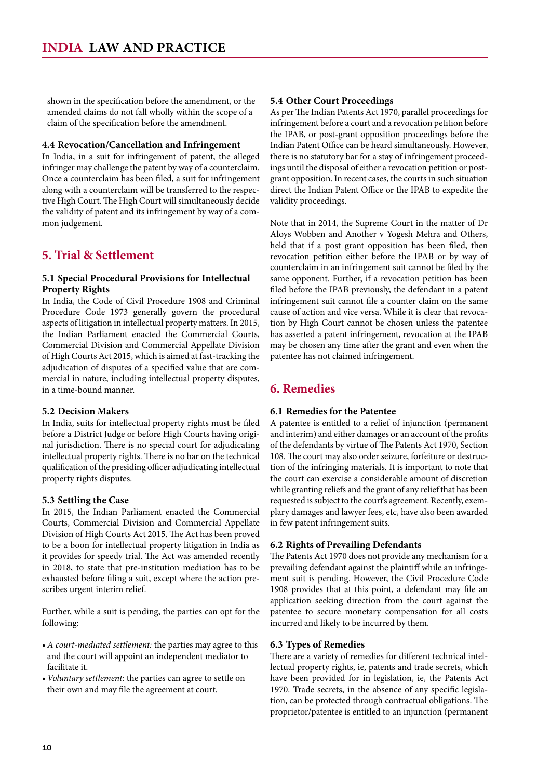<span id="page-9-0"></span>shown in the specification before the amendment, or the amended claims do not fall wholly within the scope of a claim of the specification before the amendment.

#### **4.4 Revocation/Cancellation and Infringement**

In India, in a suit for infringement of patent, the alleged infringer may challenge the patent by way of a counterclaim. Once a counterclaim has been filed, a suit for infringement along with a counterclaim will be transferred to the respective High Court. The High Court will simultaneously decide the validity of patent and its infringement by way of a common judgement.

### **5. Trial & Settlement**

#### **5.1 Special Procedural Provisions for Intellectual Property Rights**

In India, the Code of Civil Procedure 1908 and Criminal Procedure Code 1973 generally govern the procedural aspects of litigation in intellectual property matters. In 2015, the Indian Parliament enacted the Commercial Courts, Commercial Division and Commercial Appellate Division of High Courts Act 2015, which is aimed at fast-tracking the adjudication of disputes of a specified value that are commercial in nature, including intellectual property disputes, in a time-bound manner.

#### **5.2 Decision Makers**

In India, suits for intellectual property rights must be filed before a District Judge or before High Courts having original jurisdiction. There is no special court for adjudicating intellectual property rights. There is no bar on the technical qualification of the presiding officer adjudicating intellectual property rights disputes.

#### **5.3 Settling the Case**

In 2015, the Indian Parliament enacted the Commercial Courts, Commercial Division and Commercial Appellate Division of High Courts Act 2015. The Act has been proved to be a boon for intellectual property litigation in India as it provides for speedy trial. The Act was amended recently in 2018, to state that pre-institution mediation has to be exhausted before filing a suit, except where the action prescribes urgent interim relief.

Further, while a suit is pending, the parties can opt for the following:

- *• A court-mediated settlement:* the parties may agree to this and the court will appoint an independent mediator to facilitate it.
- *• Voluntary settlement:* the parties can agree to settle on their own and may file the agreement at court.

#### **5.4 Other Court Proceedings**

As per The Indian Patents Act 1970, parallel proceedings for infringement before a court and a revocation petition before the IPAB, or post-grant opposition proceedings before the Indian Patent Office can be heard simultaneously. However, there is no statutory bar for a stay of infringement proceedings until the disposal of either a revocation petition or postgrant opposition. In recent cases, the courts in such situation direct the Indian Patent Office or the IPAB to expedite the validity proceedings.

Note that in 2014, the Supreme Court in the matter of Dr Aloys Wobben and Another v Yogesh Mehra and Others, held that if a post grant opposition has been filed, then revocation petition either before the IPAB or by way of counterclaim in an infringement suit cannot be filed by the same opponent. Further, if a revocation petition has been filed before the IPAB previously, the defendant in a patent infringement suit cannot file a counter claim on the same cause of action and vice versa. While it is clear that revocation by High Court cannot be chosen unless the patentee has asserted a patent infringement, revocation at the IPAB may be chosen any time after the grant and even when the patentee has not claimed infringement.

#### **6. Remedies**

#### **6.1 Remedies for the Patentee**

A patentee is entitled to a relief of injunction (permanent and interim) and either damages or an account of the profits of the defendants by virtue of The Patents Act 1970, Section 108. The court may also order seizure, forfeiture or destruction of the infringing materials. It is important to note that the court can exercise a considerable amount of discretion while granting reliefs and the grant of any relief that has been requested is subject to the court's agreement. Recently, exemplary damages and lawyer fees, etc, have also been awarded in few patent infringement suits.

#### **6.2 Rights of Prevailing Defendants**

The Patents Act 1970 does not provide any mechanism for a prevailing defendant against the plaintiff while an infringement suit is pending. However, the Civil Procedure Code 1908 provides that at this point, a defendant may file an application seeking direction from the court against the patentee to secure monetary compensation for all costs incurred and likely to be incurred by them.

#### **6.3 Types of Remedies**

There are a variety of remedies for different technical intellectual property rights, ie, patents and trade secrets, which have been provided for in legislation, ie, the Patents Act 1970. Trade secrets, in the absence of any specific legislation, can be protected through contractual obligations. The proprietor/patentee is entitled to an injunction (permanent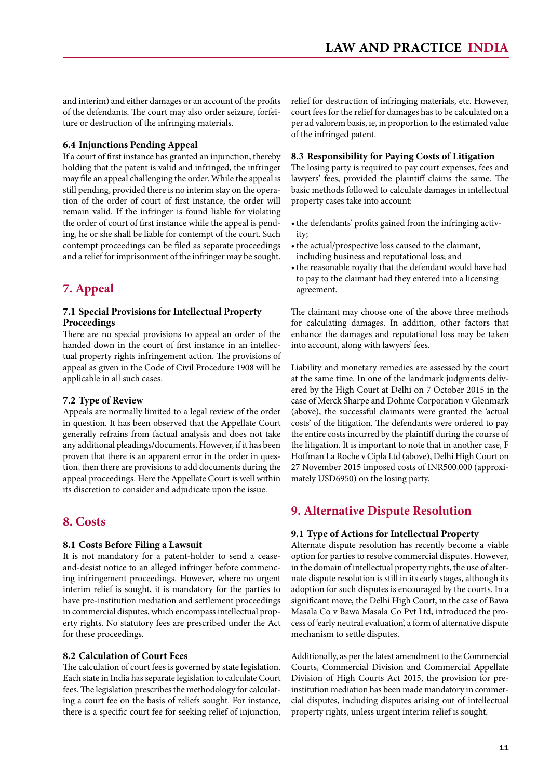<span id="page-10-0"></span>and interim) and either damages or an account of the profits of the defendants. The court may also order seizure, forfeiture or destruction of the infringing materials.

#### **6.4 Injunctions Pending Appeal**

If a court of first instance has granted an injunction, thereby holding that the patent is valid and infringed, the infringer may file an appeal challenging the order. While the appeal is still pending, provided there is no interim stay on the operation of the order of court of first instance, the order will remain valid. If the infringer is found liable for violating the order of court of first instance while the appeal is pending, he or she shall be liable for contempt of the court. Such contempt proceedings can be filed as separate proceedings and a relief for imprisonment of the infringer may be sought.

# **7. Appeal**

#### **7.1 Special Provisions for Intellectual Property Proceedings**

There are no special provisions to appeal an order of the handed down in the court of first instance in an intellectual property rights infringement action. The provisions of appeal as given in the Code of Civil Procedure 1908 will be applicable in all such cases.

#### **7.2 Type of Review**

Appeals are normally limited to a legal review of the order in question. It has been observed that the Appellate Court generally refrains from factual analysis and does not take any additional pleadings/documents. However, if it has been proven that there is an apparent error in the order in question, then there are provisions to add documents during the appeal proceedings. Here the Appellate Court is well within its discretion to consider and adjudicate upon the issue.

#### **8. Costs**

#### **8.1 Costs Before Filing a Lawsuit**

It is not mandatory for a patent-holder to send a ceaseand-desist notice to an alleged infringer before commencing infringement proceedings. However, where no urgent interim relief is sought, it is mandatory for the parties to have pre-institution mediation and settlement proceedings in commercial disputes, which encompass intellectual property rights. No statutory fees are prescribed under the Act for these proceedings.

#### **8.2 Calculation of Court Fees**

The calculation of court fees is governed by state legislation. Each state in India has separate legislation to calculate Court fees. The legislation prescribes the methodology for calculating a court fee on the basis of reliefs sought. For instance, there is a specific court fee for seeking relief of injunction, relief for destruction of infringing materials, etc. However, court fees for the relief for damages has to be calculated on a per ad valorem basis, ie, in proportion to the estimated value of the infringed patent.

#### **8.3 Responsibility for Paying Costs of Litigation**

The losing party is required to pay court expenses, fees and lawyers' fees, provided the plaintiff claims the same. The basic methods followed to calculate damages in intellectual property cases take into account:

- the defendants' profits gained from the infringing activity;
- the actual/prospective loss caused to the claimant, including business and reputational loss; and
- the reasonable royalty that the defendant would have had to pay to the claimant had they entered into a licensing agreement.

The claimant may choose one of the above three methods for calculating damages. In addition, other factors that enhance the damages and reputational loss may be taken into account, along with lawyers' fees.

Liability and monetary remedies are assessed by the court at the same time. In one of the landmark judgments delivered by the High Court at Delhi on 7 October 2015 in the case of Merck Sharpe and Dohme Corporation v Glenmark (above), the successful claimants were granted the 'actual costs' of the litigation. The defendants were ordered to pay the entire costs incurred by the plaintiff during the course of the litigation. It is important to note that in another case, F Hoffman La Roche v Cipla Ltd (above), Delhi High Court on 27 November 2015 imposed costs of INR500,000 (approximately USD6950) on the losing party.

# **9. Alternative Dispute Resolution**

#### **9.1 Type of Actions for Intellectual Property**

Alternate dispute resolution has recently become a viable option for parties to resolve commercial disputes. However, in the domain of intellectual property rights, the use of alternate dispute resolution is still in its early stages, although its adoption for such disputes is encouraged by the courts. In a significant move, the Delhi High Court, in the case of Bawa Masala Co v Bawa Masala Co Pvt Ltd, introduced the process of 'early neutral evaluation', a form of alternative dispute mechanism to settle disputes.

Additionally, as per the latest amendment to the Commercial Courts, Commercial Division and Commercial Appellate Division of High Courts Act 2015, the provision for preinstitution mediation has been made mandatory in commercial disputes, including disputes arising out of intellectual property rights, unless urgent interim relief is sought.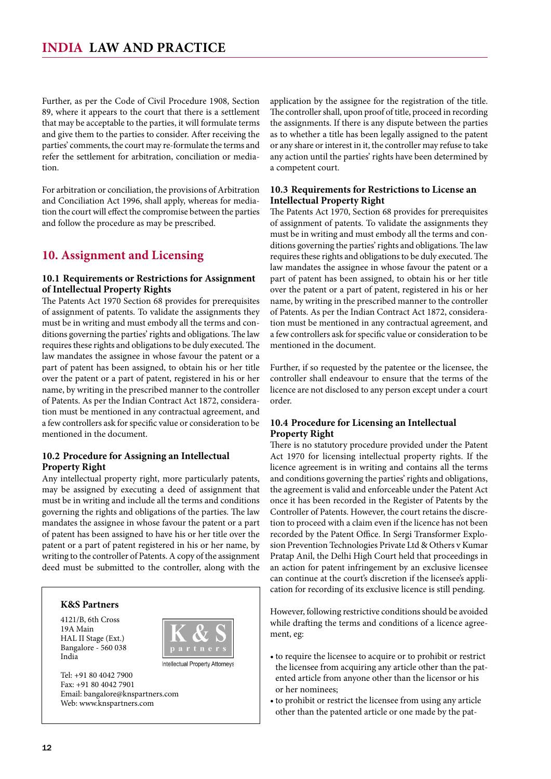<span id="page-11-0"></span>Further, as per the Code of Civil Procedure 1908, Section 89, where it appears to the court that there is a settlement that may be acceptable to the parties, it will formulate terms and give them to the parties to consider. After receiving the parties' comments, the court may re-formulate the terms and refer the settlement for arbitration, conciliation or mediation.

For arbitration or conciliation, the provisions of Arbitration and Conciliation Act 1996, shall apply, whereas for mediation the court will effect the compromise between the parties and follow the procedure as may be prescribed.

# **10. Assignment and Licensing**

#### **10.1 Requirements or Restrictions for Assignment of Intellectual Property Rights**

The Patents Act 1970 Section 68 provides for prerequisites of assignment of patents. To validate the assignments they must be in writing and must embody all the terms and conditions governing the parties' rights and obligations. The law requires these rights and obligations to be duly executed. The law mandates the assignee in whose favour the patent or a part of patent has been assigned, to obtain his or her title over the patent or a part of patent, registered in his or her name, by writing in the prescribed manner to the controller of Patents. As per the Indian Contract Act 1872, consideration must be mentioned in any contractual agreement, and a few controllers ask for specific value or consideration to be mentioned in the document.

#### **10.2 Procedure for Assigning an Intellectual Property Right**

Any intellectual property right, more particularly patents, may be assigned by executing a deed of assignment that must be in writing and include all the terms and conditions governing the rights and obligations of the parties. The law mandates the assignee in whose favour the patent or a part of patent has been assigned to have his or her title over the patent or a part of patent registered in his or her name, by writing to the controller of Patents. A copy of the assignment deed must be submitted to the controller, along with the



Tel: +91 80 4042 7900 Fax: +91 80 4042 7901 Email: bangalore@knspartners.com Web: www.knspartners.com

19A Main

India

application by the assignee for the registration of the title. The controller shall, upon proof of title, proceed in recording the assignments. If there is any dispute between the parties as to whether a title has been legally assigned to the patent or any share or interest in it, the controller may refuse to take any action until the parties' rights have been determined by a competent court.

#### **10.3 Requirements for Restrictions to License an Intellectual Property Right**

The Patents Act 1970, Section 68 provides for prerequisites of assignment of patents. To validate the assignments they must be in writing and must embody all the terms and conditions governing the parties' rights and obligations. The law requires these rights and obligations to be duly executed. The law mandates the assignee in whose favour the patent or a part of patent has been assigned, to obtain his or her title over the patent or a part of patent, registered in his or her name, by writing in the prescribed manner to the controller of Patents. As per the Indian Contract Act 1872, consideration must be mentioned in any contractual agreement, and a few controllers ask for specific value or consideration to be mentioned in the document.

Further, if so requested by the patentee or the licensee, the controller shall endeavour to ensure that the terms of the licence are not disclosed to any person except under a court order.

#### **10.4 Procedure for Licensing an Intellectual Property Right**

There is no statutory procedure provided under the Patent Act 1970 for licensing intellectual property rights. If the licence agreement is in writing and contains all the terms and conditions governing the parties' rights and obligations, the agreement is valid and enforceable under the Patent Act once it has been recorded in the Register of Patents by the Controller of Patents. However, the court retains the discretion to proceed with a claim even if the licence has not been recorded by the Patent Office. In Sergi Transformer Explosion Prevention Technologies Private Ltd & Others v Kumar Pratap Anil, the Delhi High Court held that proceedings in an action for patent infringement by an exclusive licensee can continue at the court's discretion if the licensee's application for recording of its exclusive licence is still pending.

However, following restrictive conditions should be avoided while drafting the terms and conditions of a licence agreement, eg:

- to require the licensee to acquire or to prohibit or restrict the licensee from acquiring any article other than the patented article from anyone other than the licensor or his or her nominees;
- to prohibit or restrict the licensee from using any article other than the patented article or one made by the pat-